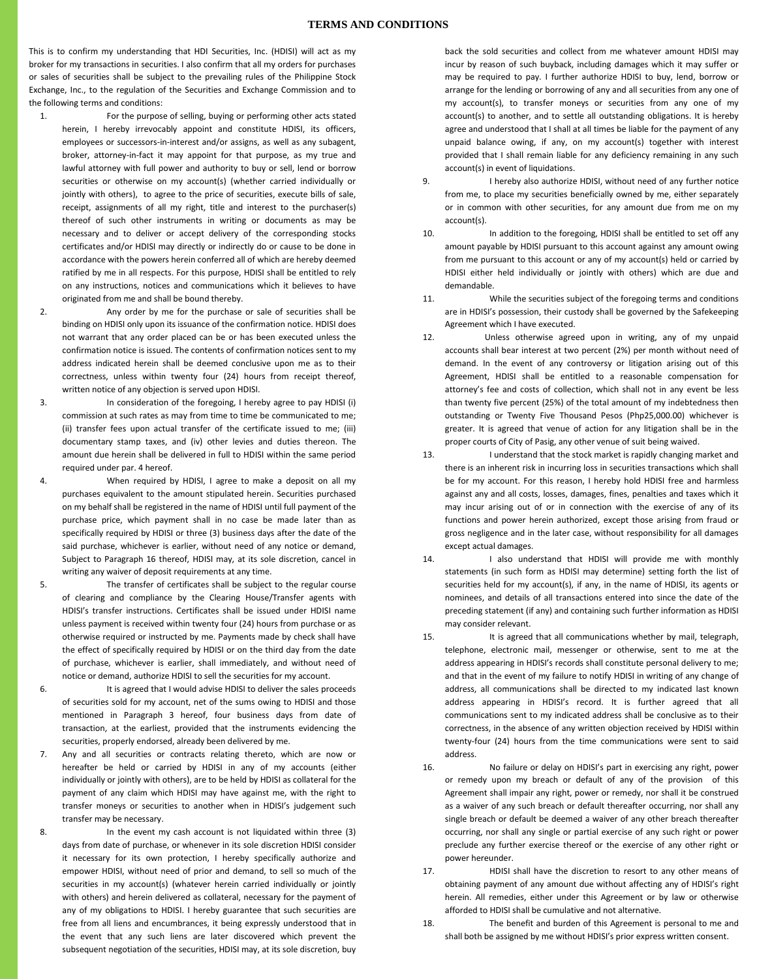## **TERMS AND CONDITIONS**

This is to confirm my understanding that HDI Securities, Inc. (HDISI) will act as my broker for my transactions in securities. I also confirm that all my orders for purchases or sales of securities shall be subject to the prevailing rules of the Philippine Stock Exchange, Inc., to the regulation of the Securities and Exchange Commission and to the following terms and conditions:

- 1. For the purpose of selling, buying or performing other acts stated herein, I hereby irrevocably appoint and constitute HDISI, its officers, employees or successors-in-interest and/or assigns, as well as any subagent, broker, attorney-in-fact it may appoint for that purpose, as my true and lawful attorney with full power and authority to buy or sell, lend or borrow securities or otherwise on my account(s) (whether carried individually or jointly with others), to agree to the price of securities, execute bills of sale, receipt, assignments of all my right, title and interest to the purchaser(s) thereof of such other instruments in writing or documents as may be necessary and to deliver or accept delivery of the corresponding stocks certificates and/or HDISI may directly or indirectly do or cause to be done in accordance with the powers herein conferred all of which are hereby deemed ratified by me in all respects. For this purpose, HDISI shall be entitled to rely on any instructions, notices and communications which it believes to have originated from me and shall be bound thereby.
- 2. Any order by me for the purchase or sale of securities shall be binding on HDISI only upon its issuance of the confirmation notice. HDISI does not warrant that any order placed can be or has been executed unless the confirmation notice is issued. The contents of confirmation notices sent to my address indicated herein shall be deemed conclusive upon me as to their correctness, unless within twenty four (24) hours from receipt thereof, written notice of any objection is served upon HDISI.
- 3. In consideration of the foregoing, I hereby agree to pay HDISI (i) commission at such rates as may from time to time be communicated to me; (ii) transfer fees upon actual transfer of the certificate issued to me; (iii) documentary stamp taxes, and (iv) other levies and duties thereon. The amount due herein shall be delivered in full to HDISI within the same period required under par. 4 hereof.
- 4. When required by HDISI, I agree to make a deposit on all my purchases equivalent to the amount stipulated herein. Securities purchased on my behalf shall be registered in the name of HDISI until full payment of the purchase price, which payment shall in no case be made later than as specifically required by HDISI or three (3) business days after the date of the said purchase, whichever is earlier, without need of any notice or demand, Subject to Paragraph 16 thereof, HDISI may, at its sole discretion, cancel in writing any waiver of deposit requirements at any time.
- 5. The transfer of certificates shall be subject to the regular course of clearing and compliance by the Clearing House/Transfer agents with HDISI's transfer instructions. Certificates shall be issued under HDISI name unless payment is received within twenty four (24) hours from purchase or as otherwise required or instructed by me. Payments made by check shall have the effect of specifically required by HDISI or on the third day from the date of purchase, whichever is earlier, shall immediately, and without need of notice or demand, authorize HDISI to sell the securities for my account.
- 6. It is agreed that I would advise HDISI to deliver the sales proceeds of securities sold for my account, net of the sums owing to HDISI and those mentioned in Paragraph 3 hereof, four business days from date of transaction, at the earliest, provided that the instruments evidencing the securities, properly endorsed, already been delivered by me.
- 7. Any and all securities or contracts relating thereto, which are now or hereafter be held or carried by HDISI in any of my accounts (either individually or jointly with others), are to be held by HDISI as collateral for the payment of any claim which HDISI may have against me, with the right to transfer moneys or securities to another when in HDISI's judgement such transfer may be necessary.
- 8. In the event my cash account is not liquidated within three (3) days from date of purchase, or whenever in its sole discretion HDISI consider it necessary for its own protection, I hereby specifically authorize and empower HDISI, without need of prior and demand, to sell so much of the securities in my account(s) (whatever herein carried individually or jointly with others) and herein delivered as collateral, necessary for the payment of any of my obligations to HDISI. I hereby guarantee that such securities are free from all liens and encumbrances, it being expressly understood that in the event that any such liens are later discovered which prevent the subsequent negotiation of the securities, HDISI may, at its sole discretion, buy

back the sold securities and collect from me whatever amount HDISI may incur by reason of such buyback, including damages which it may suffer or may be required to pay. I further authorize HDISI to buy, lend, borrow or arrange for the lending or borrowing of any and all securities from any one of my account(s), to transfer moneys or securities from any one of my account(s) to another, and to settle all outstanding obligations. It is hereby agree and understood that I shall at all times be liable for the payment of any unpaid balance owing, if any, on my account(s) together with interest provided that I shall remain liable for any deficiency remaining in any such account(s) in event of liquidations.

- 9. I hereby also authorize HDISI, without need of any further notice from me, to place my securities beneficially owned by me, either separately or in common with other securities, for any amount due from me on my account(s).
- 10. In addition to the foregoing, HDISI shall be entitled to set off any amount payable by HDISI pursuant to this account against any amount owing from me pursuant to this account or any of my account(s) held or carried by HDISI either held individually or jointly with others) which are due and demandable.
- 11. While the securities subject of the foregoing terms and conditions are in HDISI's possession, their custody shall be governed by the Safekeeping Agreement which I have executed.
- 12. Unless otherwise agreed upon in writing, any of my unpaid accounts shall bear interest at two percent (2%) per month without need of demand. In the event of any controversy or litigation arising out of this Agreement, HDISI shall be entitled to a reasonable compensation for attorney's fee and costs of collection, which shall not in any event be less than twenty five percent (25%) of the total amount of my indebtedness then outstanding or Twenty Five Thousand Pesos (Php25,000.00) whichever is greater. It is agreed that venue of action for any litigation shall be in the proper courts of City of Pasig, any other venue of suit being waived.
- 13. I understand that the stock market is rapidly changing market and there is an inherent risk in incurring loss in securities transactions which shall be for my account. For this reason, I hereby hold HDISI free and harmless against any and all costs, losses, damages, fines, penalties and taxes which it may incur arising out of or in connection with the exercise of any of its functions and power herein authorized, except those arising from fraud or gross negligence and in the later case, without responsibility for all damages except actual damages.
- 14. I also understand that HDISI will provide me with monthly statements (in such form as HDISI may determine) setting forth the list of securities held for my account(s), if any, in the name of HDISI, its agents or nominees, and details of all transactions entered into since the date of the preceding statement (if any) and containing such further information as HDISI may consider relevant.
- 15. It is agreed that all communications whether by mail, telegraph, telephone, electronic mail, messenger or otherwise, sent to me at the address appearing in HDISI's records shall constitute personal delivery to me; and that in the event of my failure to notify HDISI in writing of any change of address, all communications shall be directed to my indicated last known address appearing in HDISI's record. It is further agreed that all communications sent to my indicated address shall be conclusive as to their correctness, in the absence of any written objection received by HDISI within twenty-four (24) hours from the time communications were sent to said address.
- 16. No failure or delay on HDISI's part in exercising any right, power or remedy upon my breach or default of any of the provision of this Agreement shall impair any right, power or remedy, nor shall it be construed as a waiver of any such breach or default thereafter occurring, nor shall any single breach or default be deemed a waiver of any other breach thereafter occurring, nor shall any single or partial exercise of any such right or power preclude any further exercise thereof or the exercise of any other right or power hereunder.
- 17. HDISI shall have the discretion to resort to any other means of obtaining payment of any amount due without affecting any of HDISI's right herein. All remedies, either under this Agreement or by law or otherwise afforded to HDISI shall be cumulative and not alternative.
- 18. The benefit and burden of this Agreement is personal to me and shall both be assigned by me without HDISI's prior express written consent.